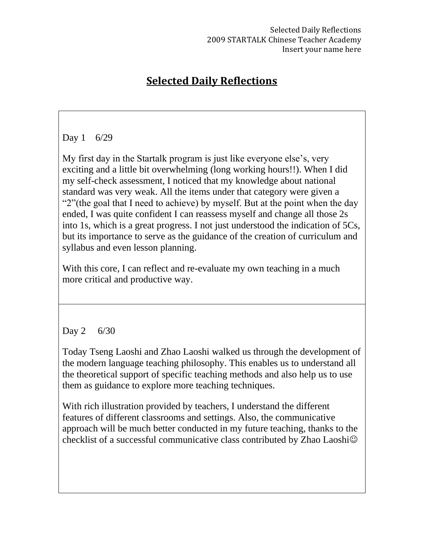# **Selected Daily Reflections**

## Day 1 6/29

My first day in the Startalk program is just like everyone else's, very exciting and a little bit overwhelming (long working hours!!). When I did my self-check assessment, I noticed that my knowledge about national standard was very weak. All the items under that category were given a "2"(the goal that I need to achieve) by myself. But at the point when the day ended, I was quite confident I can reassess myself and change all those 2s into 1s, which is a great progress. I not just understood the indication of 5Cs, but its importance to serve as the guidance of the creation of curriculum and syllabus and even lesson planning.

With this core, I can reflect and re-evaluate my own teaching in a much more critical and productive way.

## Day 2 6/30

Today Tseng Laoshi and Zhao Laoshi walked us through the development of the modern language teaching philosophy. This enables us to understand all the theoretical support of specific teaching methods and also help us to use them as guidance to explore more teaching techniques.

With rich illustration provided by teachers, I understand the different features of different classrooms and settings. Also, the communicative approach will be much better conducted in my future teaching, thanks to the checklist of a successful communicative class contributed by Zhao Laoshi $\odot$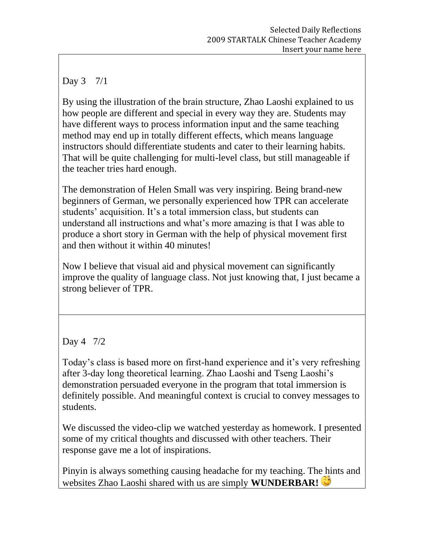## Day 3 7/1

By using the illustration of the brain structure, Zhao Laoshi explained to us how people are different and special in every way they are. Students may have different ways to process information input and the same teaching method may end up in totally different effects, which means language instructors should differentiate students and cater to their learning habits. That will be quite challenging for multi-level class, but still manageable if the teacher tries hard enough.

The demonstration of Helen Small was very inspiring. Being brand-new beginners of German, we personally experienced how TPR can accelerate students' acquisition. It's a total immersion class, but students can understand all instructions and what's more amazing is that I was able to produce a short story in German with the help of physical movement first and then without it within 40 minutes!

Now I believe that visual aid and physical movement can significantly improve the quality of language class. Not just knowing that, I just became a strong believer of TPR.

# Day 4 7/2

Today's class is based more on first-hand experience and it's very refreshing after 3-day long theoretical learning. Zhao Laoshi and Tseng Laoshi's demonstration persuaded everyone in the program that total immersion is definitely possible. And meaningful context is crucial to convey messages to students.

We discussed the video-clip we watched yesterday as homework. I presented some of my critical thoughts and discussed with other teachers. Their response gave me a lot of inspirations.

Pinyin is always something causing headache for my teaching. The hints and websites Zhao Laoshi shared with us are simply **WUNDERBAR!**